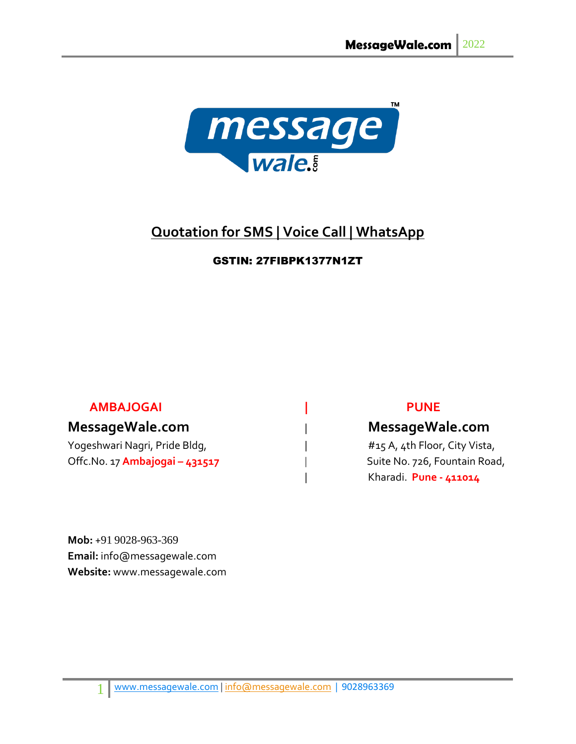

# **Quotation for SMS | Voice Call | WhatsApp**

## GSTIN: 27FIBPK1377N1ZT

## **AMBAJOGAI | PUNE**

Yogeshwari Nagri, Pride Bldg, The Manuscotic Line and Hugosland Hugosland Hugosland Hugosland Hugosland Hugosl Offc.No. 17 **Ambajogai – 431517** | Suite No. 726, Fountain Road,

## **MessageWale.com** | **MessageWale.com**

| Kharadi. **Pune - 411014**

**Mob:** +91 9028-963-369 **Email:** info@messagewale.com **Website:** www.messagewale.com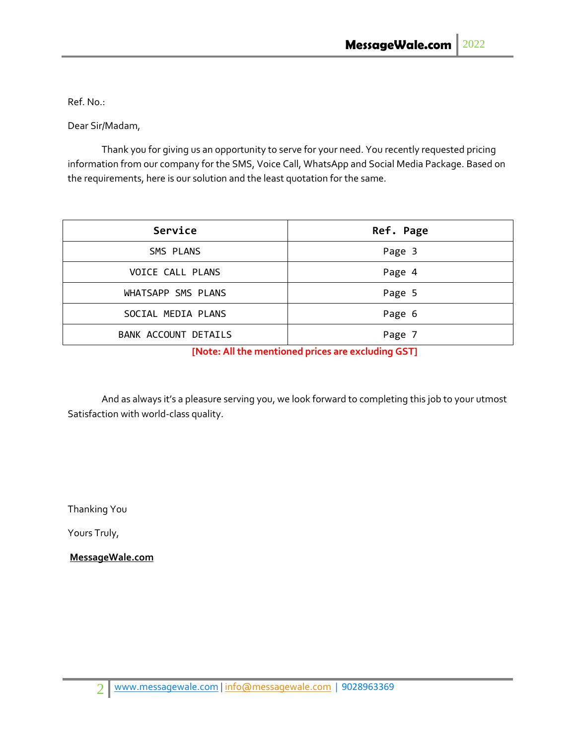Ref. No.:

Dear Sir/Madam,

Thank you for giving us an opportunity to serve for your need. You recently requested pricing information from our company for the SMS, Voice Call, WhatsApp and Social Media Package. Based on the requirements, here is our solution and the least quotation for the same.

| Service              | Ref. Page |
|----------------------|-----------|
| SMS PLANS            | Page 3    |
| VOICE CALL PLANS     | Page 4    |
| WHATSAPP SMS PLANS   | Page 5    |
| SOCIAL MEDIA PLANS   | Page 6    |
| BANK ACCOUNT DETAILS | Page 7    |

**[Note: All the mentioned prices are excluding GST]**

And as always it's a pleasure serving you, we look forward to completing this job to your utmost Satisfaction with world-class quality.

Thanking You

Yours Truly,

**MessageWale.com**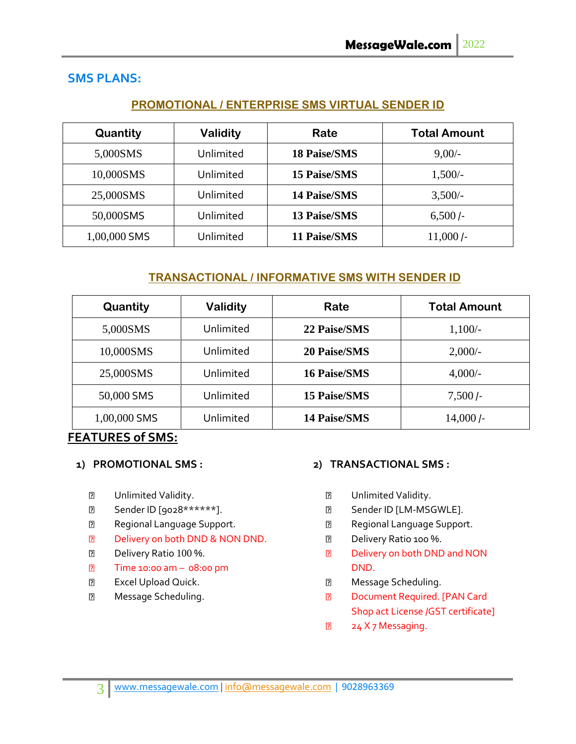## **SMS PLANS:**

#### **PROMOTIONAL / ENTERPRISE SMS VIRTUAL SENDER ID**

| Quantity     | Validity  | Rate                | <b>Total Amount</b> |
|--------------|-----------|---------------------|---------------------|
| 5,000SMS     | Unlimited | <b>18 Paise/SMS</b> | $9,00/-$            |
| 10,000SMS    | Unlimited | <b>15 Paise/SMS</b> | $1,500/-$           |
| 25,000SMS    | Unlimited | <b>14 Paise/SMS</b> | $3,500/-$           |
| 50,000SMS    | Unlimited | <b>13 Paise/SMS</b> | $6,500/-$           |
| 1,00,000 SMS | Unlimited | 11 Paise/SMS        | $11,000/-$          |

### **TRANSACTIONAL / INFORMATIVE SMS WITH SENDER ID**

| Quantity     | <b>Validity</b> | Rate                | <b>Total Amount</b> |
|--------------|-----------------|---------------------|---------------------|
| 5,000SMS     | Unlimited       | 22 Paise/SMS        | $1,100/-$           |
| 10,000SMS    | Unlimited       | <b>20 Paise/SMS</b> | $2,000/-$           |
| 25,000SMS    | Unlimited       | <b>16 Paise/SMS</b> | $4,000/-$           |
| 50,000 SMS   | Unlimited       | <b>15 Paise/SMS</b> | $7,500$ $\prime$ -  |
| 1,00,000 SMS | Unlimited       | <b>14 Paise/SMS</b> | $14,000$ /-         |

### **FEATURES of SMS:**

#### **1) PROMOTIONAL SMS :**

- $\overline{2}$ Unlimited Validity.
- Sender ID [9028\*\*\*\*\*\*].  $\overline{2}$
- $\overline{2}$ Regional Language Support.
- $\boxed{2}$ Delivery on both DND & NON DND.
- $\overline{2}$ Delivery Ratio 100 %.
- $\overline{2}$ Time 10:00 am – 08:00 pm
- $\overline{2}$ Excel Upload Quick.
- $\overline{R}$ Message Scheduling.

#### **2) TRANSACTIONAL SMS :**

- $\overline{2}$ Unlimited Validity.
- Sender ID [LM-MSGWLE].  $\overline{2}$
- $\overline{2}$ Regional Language Support.
- $\boxed{2}$ Delivery Ratio 100 %.
- $\overline{2}$ Delivery on both DND and NON DND.
- Message Scheduling.  $\overline{?}$
- $\boxed{2}$ Document Required. [PAN Card Shop act License /GST certificate]
- 24 X 7 Messaging. $\overline{B}$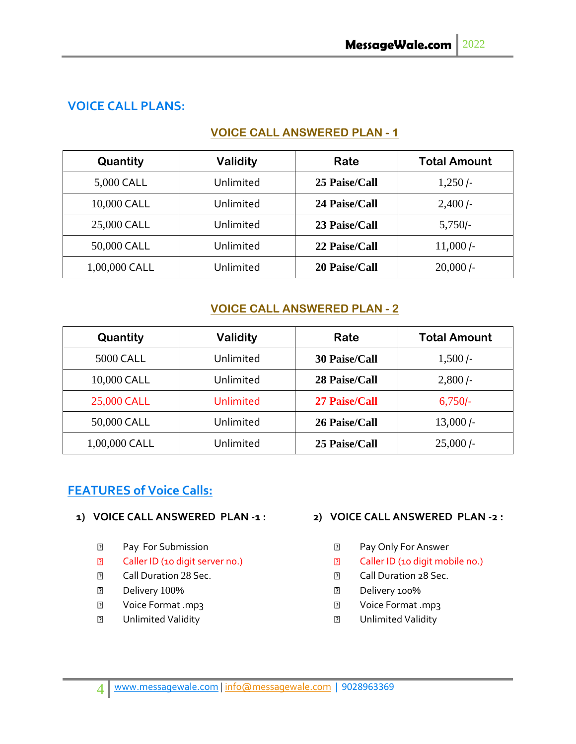## **VOICE CALL PLANS:**

#### **VOICE CALL ANSWERED PLAN - 1**

| Quantity        | <b>Validity</b> | Rate          | <b>Total Amount</b> |
|-----------------|-----------------|---------------|---------------------|
| 5,000 CALL      | Unlimited       | 25 Paise/Call | $1,250$ $\prime$    |
| 10,000 CALL     | Unlimited       | 24 Paise/Call | $2,400$ $\prime$    |
| 25,000 CALL     | Unlimited       | 23 Paise/Call | $5,750/-$           |
| 50,000 CALL     | Unlimited       | 22 Paise/Call | $11,000$ /-         |
| $1,00,000$ CALL | Unlimited       | 20 Paise/Call | $20,000$ /-         |

## **VOICE CALL ANSWERED PLAN - 2**

| Quantity      | <b>Validity</b> | Rate                 | <b>Total Amount</b> |
|---------------|-----------------|----------------------|---------------------|
| 5000 CALL     | Unlimited       | <b>30 Paise/Call</b> | $1,500/-$           |
| 10,000 CALL   | Unlimited       | 28 Paise/Call        | $2,800/-$           |
| 25,000 CALL   | Unlimited       | <b>27 Paise/Call</b> | $6,750$ -           |
| 50,000 CALL   | Unlimited       | 26 Paise/Call        | $13,000$ /-         |
| 1,00,000 CALL | Unlimited       | 25 Paise/Call        | $25,000$ /-         |

## **FEATURES of Voice Calls:**

#### **1) VOICE CALL ANSWERED PLAN -1 :**

- $\overline{2}$ Pay For Submission
- $\overline{2}$ Caller ID (10 digit server no.)
- $\overline{R}$ Call Duration 28 Sec.
- Delivery 100%  $\overline{2}$
- $\overline{2}$ Voice Format .mp3
- $\overline{2}$ Unlimited Validity

#### **2) VOICE CALL ANSWERED PLAN -2 :**

- $\overline{2}$ Pay Only For Answer
- $\overline{2}$ Caller ID (10 digit mobile no.)
- $\overline{2}$ Call Duration 28 Sec.
- Delivery 100%  $\overline{2}$
- $\overline{2}$ Voice Format .mp3
- $\overline{2}$ Unlimited Validity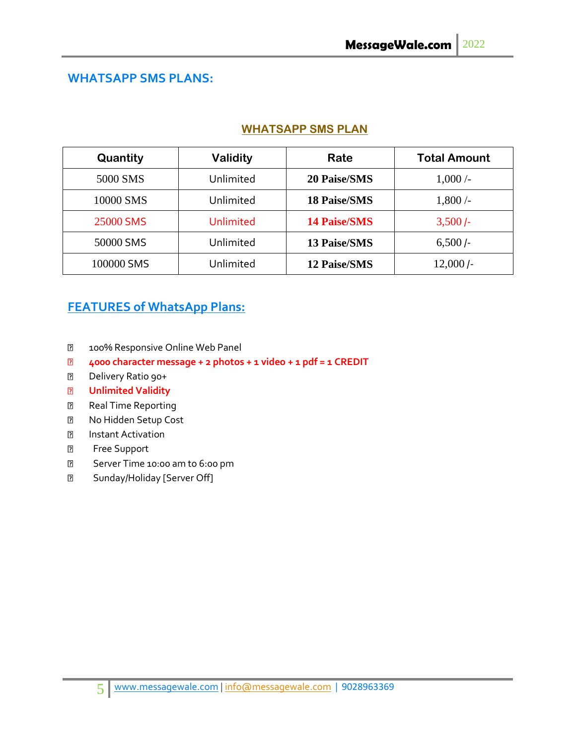## **WHATSAPP SMS PLANS:**

#### **WHATSAPP SMS PLAN**

| Quantity   | <b>Validity</b>  | Rate                | <b>Total Amount</b> |
|------------|------------------|---------------------|---------------------|
| 5000 SMS   | Unlimited        | <b>20 Paise/SMS</b> | $1,000/-$           |
| 10000 SMS  | Unlimited        | <b>18 Paise/SMS</b> | 1,800/              |
| 25000 SMS  | <b>Unlimited</b> | <b>14 Paise/SMS</b> | $3,500/-$           |
| 50000 SMS  | Unlimited        | <b>13 Paise/SMS</b> | $6,500/-$           |
| 100000 SMS | Unlimited        | <b>12 Paise/SMS</b> | $12,000/-$          |

# **FEATURES of WhatsApp Plans:**

- $\overline{2}$ 100% Responsive Online Web Panel
- **4000 character message + 2 photos + 1 video + 1 pdf = 1 CREDIT**  $\overline{2}$
- $\overline{2}$ Delivery Ratio 90+
- **Unlimited Validity**  $\overline{2}$
- Real Time Reporting  $\overline{2}$
- $\overline{2}$ No Hidden Setup Cost
- $\overline{2}$ Instant Activation
- $\overline{2}$ Free Support
- Server Time 10:00 am to 6:00 pm  $\mathbf{E}$
- $\boxed{2}$ Sunday/Holiday [Server Off]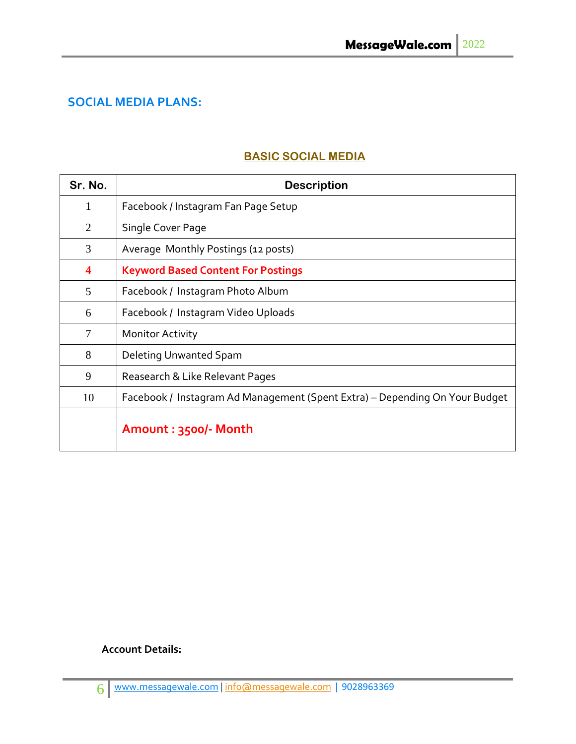# **SOCIAL MEDIA PLANS:**

## **BASIC SOCIAL MEDIA**

| Sr. No.                 | <b>Description</b>                                                          |
|-------------------------|-----------------------------------------------------------------------------|
| 1                       | Facebook / Instagram Fan Page Setup                                         |
| $\overline{2}$          | Single Cover Page                                                           |
| 3                       | Average Monthly Postings (12 posts)                                         |
| $\overline{\mathbf{4}}$ | <b>Keyword Based Content For Postings</b>                                   |
| 5                       | Facebook / Instagram Photo Album                                            |
| 6                       | Facebook / Instagram Video Uploads                                          |
| 7                       | <b>Monitor Activity</b>                                                     |
| 8                       | Deleting Unwanted Spam                                                      |
| 9                       | Reasearch & Like Relevant Pages                                             |
| 10                      | Facebook / Instagram Ad Management (Spent Extra) – Depending On Your Budget |
|                         | Amount: 3500/- Month                                                        |

#### **Account Details:**